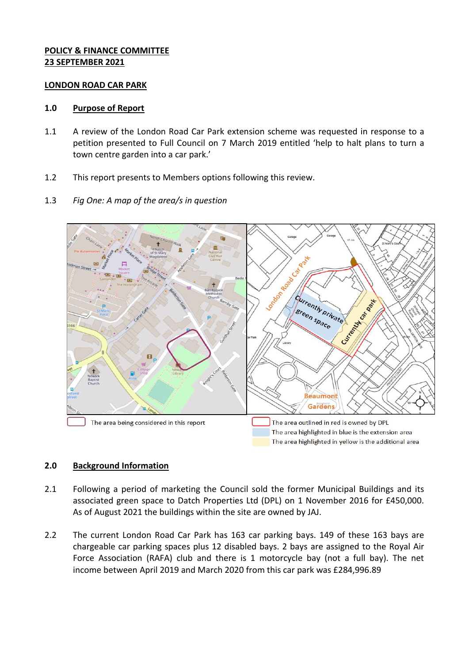## **POLICY & FINANCE COMMITTEE 23 SEPTEMBER 2021**

#### **LONDON ROAD CAR PARK**

#### **1.0 Purpose of Report**

- 1.1 A review of the London Road Car Park extension scheme was requested in response to a petition presented to Full Council on 7 March 2019 entitled 'help to halt plans to turn a town centre garden into a car park.'
- 1.2 This report presents to Members options following this review.
- 1.3 *Fig One: A map of the area/s in question*



# **2.0 Background Information**

- 2.1 Following a period of marketing the Council sold the former Municipal Buildings and its associated green space to Datch Properties Ltd (DPL) on 1 November 2016 for £450,000. As of August 2021 the buildings within the site are owned by JAJ.
- 2.2 The current London Road Car Park has 163 car parking bays. 149 of these 163 bays are chargeable car parking spaces plus 12 disabled bays. 2 bays are assigned to the Royal Air Force Association (RAFA) club and there is 1 motorcycle bay (not a full bay). The net income between April 2019 and March 2020 from this car park was £284,996.89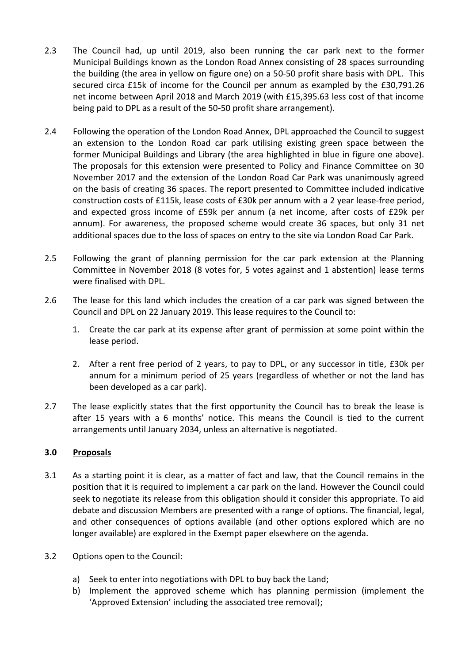- 2.3 The Council had, up until 2019, also been running the car park next to the former Municipal Buildings known as the London Road Annex consisting of 28 spaces surrounding the building (the area in yellow on figure one) on a 50-50 profit share basis with DPL. This secured circa £15k of income for the Council per annum as exampled by the £30,791.26 net income between April 2018 and March 2019 (with £15,395.63 less cost of that income being paid to DPL as a result of the 50-50 profit share arrangement).
- 2.4 Following the operation of the London Road Annex, DPL approached the Council to suggest an extension to the London Road car park utilising existing green space between the former Municipal Buildings and Library (the area highlighted in blue in figure one above). The proposals for this extension were presented to Policy and Finance Committee on 30 November 2017 and the extension of the London Road Car Park was unanimously agreed on the basis of creating 36 spaces. The report presented to Committee included indicative construction costs of £115k, lease costs of £30k per annum with a 2 year lease-free period, and expected gross income of £59k per annum (a net income, after costs of £29k per annum). For awareness, the proposed scheme would create 36 spaces, but only 31 net additional spaces due to the loss of spaces on entry to the site via London Road Car Park.
- 2.5 Following the grant of planning permission for the car park extension at the Planning Committee in November 2018 (8 votes for, 5 votes against and 1 abstention) lease terms were finalised with DPL.
- 2.6 The lease for this land which includes the creation of a car park was signed between the Council and DPL on 22 January 2019. This lease requires to the Council to:
	- 1. Create the car park at its expense after grant of permission at some point within the lease period.
	- 2. After a rent free period of 2 years, to pay to DPL, or any successor in title, £30k per annum for a minimum period of 25 years (regardless of whether or not the land has been developed as a car park).
- 2.7 The lease explicitly states that the first opportunity the Council has to break the lease is after 15 years with a 6 months' notice. This means the Council is tied to the current arrangements until January 2034, unless an alternative is negotiated.

#### **3.0 Proposals**

- 3.1 As a starting point it is clear, as a matter of fact and law, that the Council remains in the position that it is required to implement a car park on the land. However the Council could seek to negotiate its release from this obligation should it consider this appropriate. To aid debate and discussion Members are presented with a range of options. The financial, legal, and other consequences of options available (and other options explored which are no longer available) are explored in the Exempt paper elsewhere on the agenda.
- 3.2 Options open to the Council:
	- a) Seek to enter into negotiations with DPL to buy back the Land;
	- b) Implement the approved scheme which has planning permission (implement the 'Approved Extension' including the associated tree removal);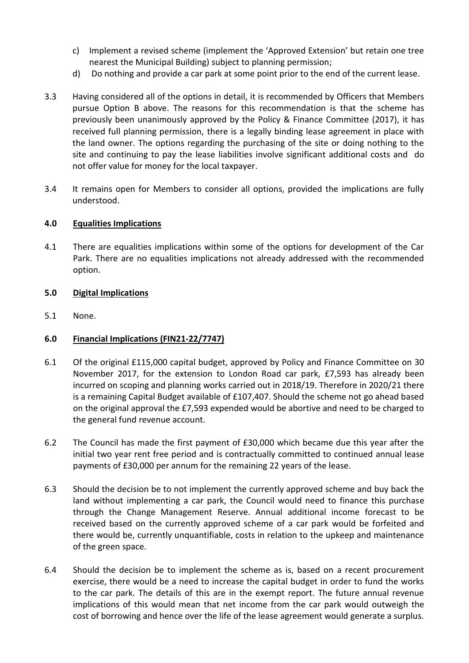- c) Implement a revised scheme (implement the 'Approved Extension' but retain one tree nearest the Municipal Building) subject to planning permission;
- d) Do nothing and provide a car park at some point prior to the end of the current lease.
- 3.3 Having considered all of the options in detail, it is recommended by Officers that Members pursue Option B above. The reasons for this recommendation is that the scheme has previously been unanimously approved by the Policy & Finance Committee (2017), it has received full planning permission, there is a legally binding lease agreement in place with the land owner. The options regarding the purchasing of the site or doing nothing to the site and continuing to pay the lease liabilities involve significant additional costs and do not offer value for money for the local taxpayer.
- 3.4 It remains open for Members to consider all options, provided the implications are fully understood.

## **4.0 Equalities Implications**

4.1 There are equalities implications within some of the options for development of the Car Park. There are no equalities implications not already addressed with the recommended option.

## **5.0 Digital Implications**

5.1 None.

# **6.0 Financial Implications (FIN21-22/7747)**

- 6.1 Of the original £115,000 capital budget, approved by Policy and Finance Committee on 30 November 2017, for the extension to London Road car park, £7,593 has already been incurred on scoping and planning works carried out in 2018/19. Therefore in 2020/21 there is a remaining Capital Budget available of £107,407. Should the scheme not go ahead based on the original approval the £7,593 expended would be abortive and need to be charged to the general fund revenue account.
- 6.2 The Council has made the first payment of £30,000 which became due this year after the initial two year rent free period and is contractually committed to continued annual lease payments of £30,000 per annum for the remaining 22 years of the lease.
- 6.3 Should the decision be to not implement the currently approved scheme and buy back the land without implementing a car park, the Council would need to finance this purchase through the Change Management Reserve. Annual additional income forecast to be received based on the currently approved scheme of a car park would be forfeited and there would be, currently unquantifiable, costs in relation to the upkeep and maintenance of the green space.
- 6.4 Should the decision be to implement the scheme as is, based on a recent procurement exercise, there would be a need to increase the capital budget in order to fund the works to the car park. The details of this are in the exempt report. The future annual revenue implications of this would mean that net income from the car park would outweigh the cost of borrowing and hence over the life of the lease agreement would generate a surplus.